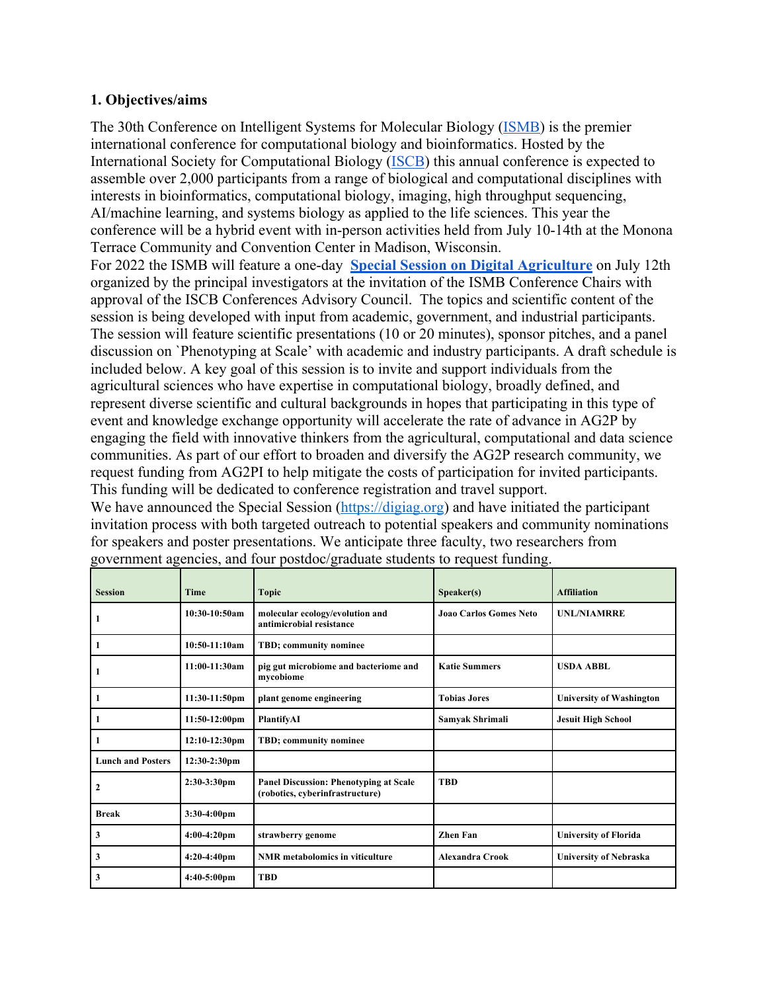### **1. Objectives/aims**

The 30th Conference on Intelligent Systems for Molecular Biology (ISMB) is the premier international conference for computational biology and bioinformatics. Hosted by the International Society for Computational Biology (ISCB) this annual conference is expected to assemble over 2,000 participants from a range of biological and computational disciplines with interests in bioinformatics, computational biology, imaging, high throughput sequencing, AI/machine learning, and systems biology as applied to the life sciences. This year the conference will be a hybrid event with in-person activities held from July 10-14th at the Monona Terrace Community and Convention Center in Madison, Wisconsin.

For 2022 the ISMB will feature a one-day **Special Session on Digital Agriculture** on July 12th organized by the principal investigators at the invitation of the ISMB Conference Chairs with approval of the ISCB Conferences Advisory Council. The topics and scientific content of the session is being developed with input from academic, government, and industrial participants. The session will feature scientific presentations (10 or 20 minutes), sponsor pitches, and a panel discussion on `Phenotyping at Scale' with academic and industry participants. A draft schedule is included below. A key goal of this session is to invite and support individuals from the agricultural sciences who have expertise in computational biology, broadly defined, and represent diverse scientific and cultural backgrounds in hopes that participating in this type of event and knowledge exchange opportunity will accelerate the rate of advance in AG2P by engaging the field with innovative thinkers from the agricultural, computational and data science communities. As part of our effort to broaden and diversify the AG2P research community, we request funding from AG2PI to help mitigate the costs of participation for invited participants. This funding will be dedicated to conference registration and travel support.

We have announced the Special Session (https://digiag.org) and have initiated the participant invitation process with both targeted outreach to potential speakers and community nominations for speakers and poster presentations. We anticipate three faculty, two researchers from government agencies, and four postdoc/graduate students to request funding.

| <b>Session</b>           | <b>Time</b>             | <b>Topic</b>                                                              | Speaker(s)                    | <b>Affiliation</b>              |
|--------------------------|-------------------------|---------------------------------------------------------------------------|-------------------------------|---------------------------------|
| 1                        | $10:30-10:50am$         | molecular ecology/evolution and<br>antimicrobial resistance               | <b>Joan Carlos Gomes Neto</b> | <b>UNL/NIAMRRE</b>              |
| $\vert$ 1                | 10:50-11:10am           | TBD; community nominee                                                    |                               |                                 |
| $\mathbf{1}$             | 11:00-11:30am           | pig gut microbiome and bacteriome and<br>mycobiome                        | <b>Katie Summers</b>          | <b>USDA ABBL</b>                |
| $\mathbf{1}$             | 11:30-11:50pm           | plant genome engineering                                                  | <b>Tobias Jores</b>           | <b>University of Washington</b> |
| 1                        | $11:50-12:00 \text{pm}$ | PlantifyAI                                                                | Samyak Shrimali               | <b>Jesuit High School</b>       |
| $\mathbf{1}$             | 12:10-12:30pm           | TBD; community nominee                                                    |                               |                                 |
| <b>Lunch and Posters</b> | $12:30-2:30$ pm         |                                                                           |                               |                                 |
| $\boldsymbol{2}$         | $2:30-3:30$ pm          | Panel Discussion: Phenotyping at Scale<br>(robotics, cyberinfrastructure) | <b>TBD</b>                    |                                 |
| <b>Break</b>             | 3:30-4:00pm             |                                                                           |                               |                                 |
| 3                        | $4:00-4:20$ pm          | strawberry genome                                                         | <b>Zhen Fan</b>               | <b>University of Florida</b>    |
| 3                        | $4:20-4:40$ pm          | <b>NMR</b> metabolomics in viticulture                                    | <b>Alexandra Crook</b>        | <b>University of Nebraska</b>   |
| 3                        | $4:40-5:00$ pm          | <b>TBD</b>                                                                |                               |                                 |